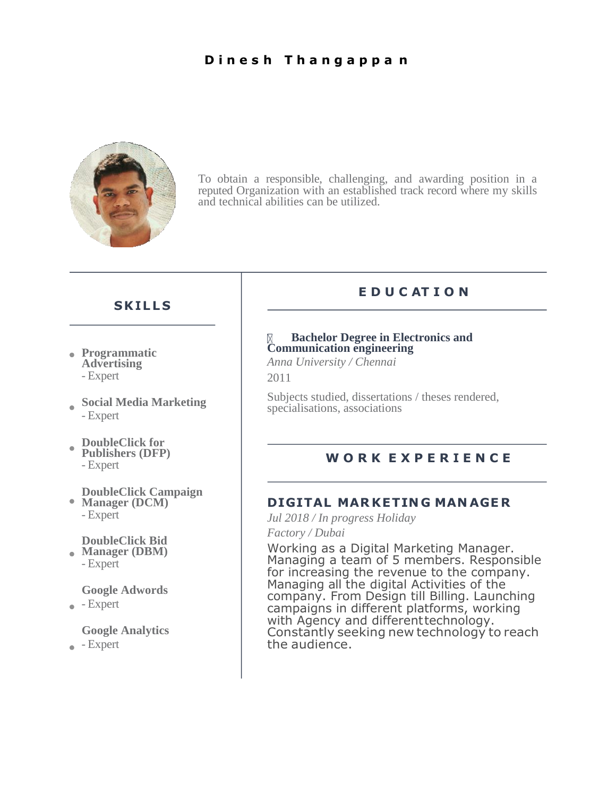#### **D i n e s h T h a n g a p p a n**



To obtain a responsible, challenging, and awarding position in a reputed Organization with an established track record where my skills and technical abilities can be utilized.

#### **SKIL L S**

- **Programmatic Advertising** - Expert
- **Social Media Marketing** - Expert
- **DoubleClick for**   $\bullet$ **Publishers (DFP)**

#### **DoubleClick Campaign**

**Manager (DCM)** - Expert

**DoubleClick Bid** 

**Manager (DBM)** - Expert

**Google Adwords**

 $\bullet$  - Expert

#### **Google Analytics**

 $\bullet$  - Expert

### **E D U C AT I O N**

#### **Bachelor Degree in Electronics and Communication engineering**

*Anna University / Chennai* 2011

Subjects studied, dissertations / theses rendered, specialisations, associations

# - Expert **W O R K E X P E R I E N C E**

#### **DIGITAL MAR KETIN G MAN AGE R**

*Jul 2018 / In progress Holiday Factory / Dubai*

Working as a Digital Marketing Manager. Managing a team of 5 members. Responsible for increasing the revenue to the company. Managing all the digital Activities of the company. From Design till Billing. Launching campaigns in different platforms, working with Agency and different technology. Constantly seeking new technology to reach the audience.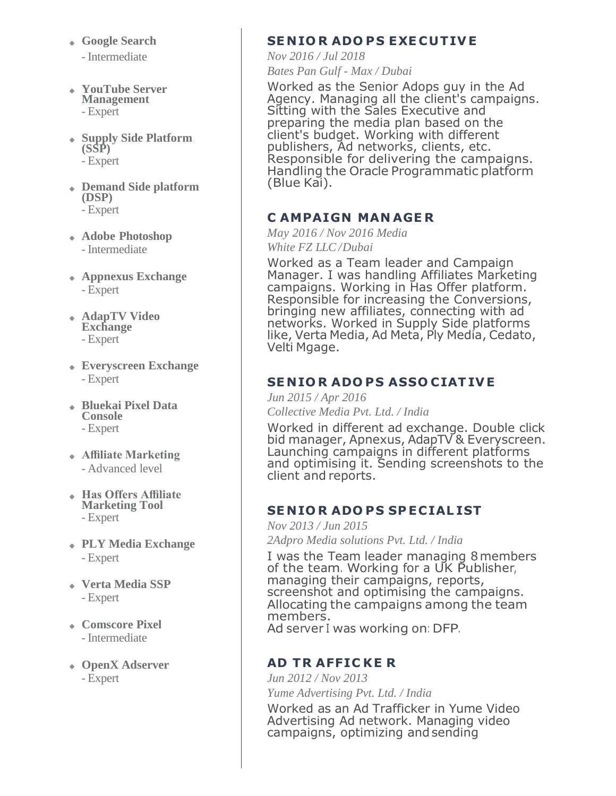- **Google Search**
	- Intermediate
- **YouTube Server Management** - Expert
- **Supply Side Platform (SSP)** - Expert
- **Demand Side platform (DSP)** - Expert
- **Adobe Photoshop** - Intermediate
- **Appnexus Exchange** - Expert
- **AdapTV Video Exchange** - Expert
- **Everyscreen Exchange** - Expert
- **Bluekai Pixel Data Console** - Expert
- **Affiliate Marketing** - Advanced level
- **Has Offers Affiliate Marketing Tool** - Expert
- **PLY Media Exchange** - Expert
- **Verta Media SSP** - Expert
- **Comscore Pixel** - Intermediate
- **OpenX Adserver** - Expert

## **SE NIO R ADO PS EXE CUTIV E**

*Nov 2016 / Jul 2018 Bates Pan Gulf - Max / Dubai*

Worked as the Senior Adops guy in the Ad Agency. Managing all the client's campaigns. Sitting with the Sales Executive and preparing the media plan based on the client's budget. Working with different publishers, Ad networks, clients, etc. Responsible for delivering the campaigns. Handling the Oracle Programmatic platform (Blue Kai).

## **C AMPAIGN MAN AGE R**

*May 2016 / Nov 2016 Media White FZ LLC /Dubai*

Worked as a Team leader and Campaign Manager. I was handling Affiliates Marketing campaigns. Working in Has Offer platform. Responsible for increasing the Conversions, bringing new affiliates, connecting with ad networks. Worked in Supply Side platforms like, Verta Media, Ad Meta, Ply Media, Cedato, Velti Mgage.

## **SE NIO R ADO PS ASSO CIATIV E**

*Jun 2015 / Apr 2016*

*Collective Media Pvt. Ltd. / India*

Worked in different ad exchange. Double click bid manager, Apnexus, AdapTV & Everyscreen. Launching campaigns in different platforms and optimising it. Sending screenshots to the client and reports.

### **SE NIO R ADO PS SP ECIAL IST**

*Nov 2013 / Jun 2015 2Adpro Media solutions Pvt. Ltd. / India*

I was the Team leader managing 8members of the team. Working for <sup>a</sup> UK Publisher, managing their campaigns, reports, screenshot and optimising the campaigns. Allocating the campaigns among the team members. Ad server <sup>I</sup> was working on: DFP.

### **AD TR AFFIC KE R**

*Jun 2012 / Nov 2013 Yume Advertising Pvt. Ltd. / India*

Worked as an Ad Trafficker in Yume Video Advertising Ad network. Managing video campaigns, optimizing andsending